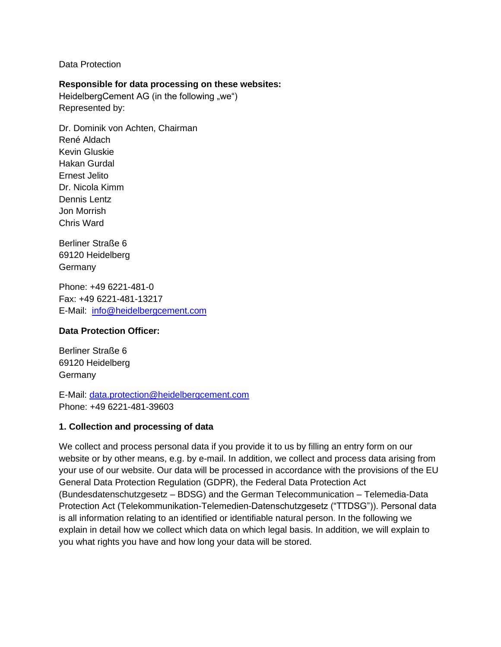Data Protection

#### **Responsible for data processing on these websites:**

HeidelbergCement AG (in the following "we") Represented by:

Dr. Dominik von Achten, Chairman René Aldach Kevin Gluskie Hakan Gurdal Ernest Jelito Dr. Nicola Kimm Dennis Lentz Jon Morrish Chris Ward

Berliner Straße 6 69120 Heidelberg Germany

Phone: +49 6221-481-0 Fax: +49 6221-481-13217 E-Mail: [info@heidelbergcement.com](mailto:info@heidelbergcement.com)

#### **Data Protection Officer:**

Berliner Straße 6 69120 Heidelberg Germany

E-Mail: [data.protection@heidelbergcement.com](mailto:data.protection@heidelbergcement.com) Phone: +49 6221-481-39603

#### **1. Collection and processing of data**

We collect and process personal data if you provide it to us by filling an entry form on our website or by other means, e.g. by e-mail. In addition, we collect and process data arising from your use of our website. Our data will be processed in accordance with the provisions of the EU General Data Protection Regulation (GDPR), the Federal Data Protection Act (Bundesdatenschutzgesetz – BDSG) and the German Telecommunication – Telemedia-Data Protection Act (Telekommunikation-Telemedien-Datenschutzgesetz ("TTDSG")). Personal data is all information relating to an identified or identifiable natural person. In the following we explain in detail how we collect which data on which legal basis. In addition, we will explain to you what rights you have and how long your data will be stored.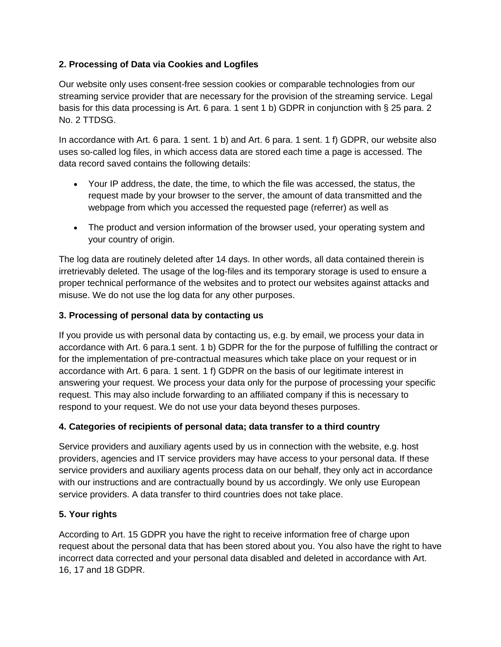# **2. Processing of Data via Cookies and Logfiles**

Our website only uses consent-free session cookies or comparable technologies from our streaming service provider that are necessary for the provision of the streaming service. Legal basis for this data processing is Art. 6 para. 1 sent 1 b) GDPR in conjunction with § 25 para. 2 No. 2 TTDSG.

In accordance with Art. 6 para. 1 sent. 1 b) and Art. 6 para. 1 sent. 1 f) GDPR, our website also uses so-called log files, in which access data are stored each time a page is accessed. The data record saved contains the following details:

- Your IP address, the date, the time, to which the file was accessed, the status, the request made by your browser to the server, the amount of data transmitted and the webpage from which you accessed the requested page (referrer) as well as
- The product and version information of the browser used, your operating system and your country of origin.

The log data are routinely deleted after 14 days. In other words, all data contained therein is irretrievably deleted. The usage of the log-files and its temporary storage is used to ensure a proper technical performance of the websites and to protect our websites against attacks and misuse. We do not use the log data for any other purposes.

## **3. Processing of personal data by contacting us**

If you provide us with personal data by contacting us, e.g. by email, we process your data in accordance with Art. 6 para.1 sent. 1 b) GDPR for the for the purpose of fulfilling the contract or for the implementation of pre-contractual measures which take place on your request or in accordance with Art. 6 para. 1 sent. 1 f) GDPR on the basis of our legitimate interest in answering your request. We process your data only for the purpose of processing your specific request. This may also include forwarding to an affiliated company if this is necessary to respond to your request. We do not use your data beyond theses purposes.

## **4. Categories of recipients of personal data; data transfer to a third country**

Service providers and auxiliary agents used by us in connection with the website, e.g. host providers, agencies and IT service providers may have access to your personal data. If these service providers and auxiliary agents process data on our behalf, they only act in accordance with our instructions and are contractually bound by us accordingly. We only use European service providers. A data transfer to third countries does not take place.

## **5. Your rights**

According to Art. 15 GDPR you have the right to receive information free of charge upon request about the personal data that has been stored about you. You also have the right to have incorrect data corrected and your personal data disabled and deleted in accordance with Art. 16, 17 and 18 GDPR.